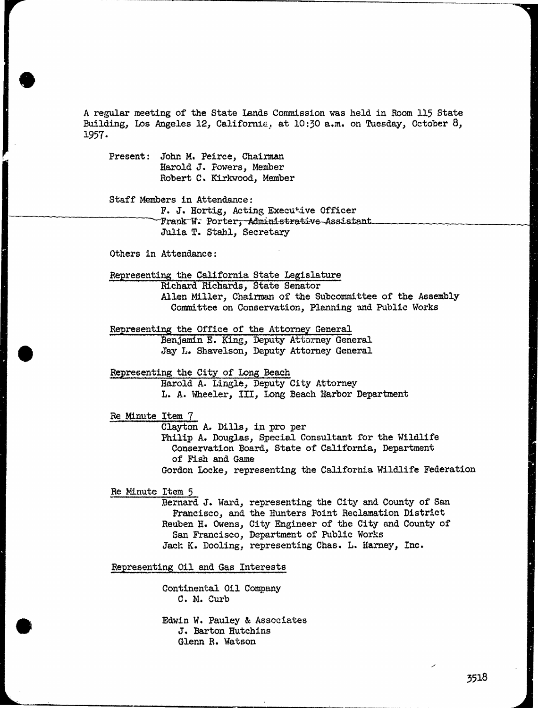A regular meeting of the State Lands Commission was held in Room 115 State Building, Los Angeles 12, California, at 10:30 a.m. on Tuesday, October 8, 1957.

Present: John M. Peirce, Chairman Harold J. Powers, Member Robert C. Kirkwood, Member

Staff Members in Attendance:

F. J. Hortig, Acting Executive Officer Frank W. Porter, Administrative Assistant Julia T. Stahl, Secretary

Others in Attendance:

Representing the California State Legislature Richard Richards, State Senator

Allen Miller, Chairman of the Subcommittee of the Assembly Committee on Conservation, Planning and Public Works

Representing the Office of the Attorney General Benjamin E. King, Deputy Attorney General Jay L. Shavelson, Deputy Attorney General

Representing the City of Long Beach

Harold A. Lingle, Deputy City Attorney L. A. Wheeler, III, Long Beach Harbor Department

Re Minute Item 7

Clayton A. Dills, in pro per Conservation Board, State of California, Department of Fish and Game Gordon Locke, representing the California Wildlife Federation

Re Minute Item 5

Bernard J. Ward, representing the City and County of San Francisco, and the Hunters Point Reclamation District Reuben H. Owens, City Engineer of the City and County of San Francisco, Department of Public Works Jack K. Dooling, representing Chas. L. Harney, Inc.

Representing Oil and Gas Interests

Continental Oil Company C. M. Curb

Edwin W. Pauley & Associates J. Barton Hutchins Glenn R. Watson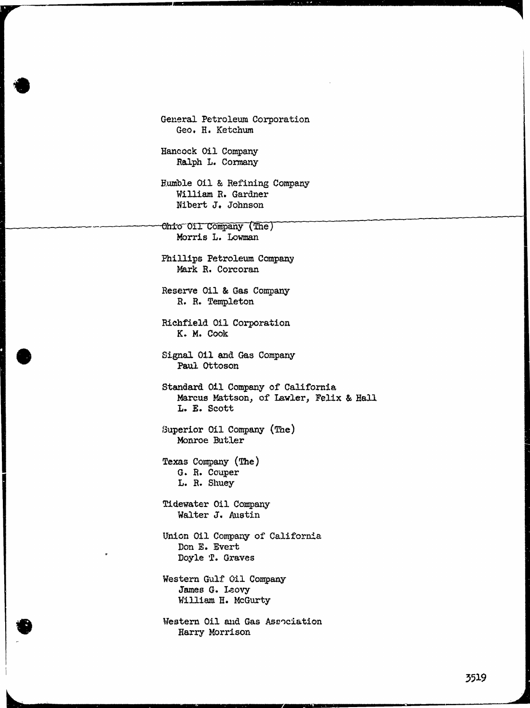General Petroleum Corporation Geo. H. Ketchum Hancock Oil Company Ralph L. Cormany Humble Oil & Refining Company William R. Gardner Nibert J. Johnson Onto Oil Company (The) Morris L. Lowman Phillips Petroleum Company Mark R. Corcoran Reserve Oil & Gas Company R. R. Templeton Richfield Oil Corporation K. M. Cook Signal 011 and Gas Company Paul Ottoson Standard Oil Company of California Marcus Mattson, of Lawler, Felix & Hall L. E. Scott Superior Oil Company (The) Monroe Butler Texas Company (The) G. R. Couper L. R. Shuey Tidewater Oil Company Walter J. Austin Union Oil Company of California Don E. Evert Doyle T. Graves Western Gulf Oil Company James G. Leovy William H. McGurty Western Oil and Gas Association Harry Morrison